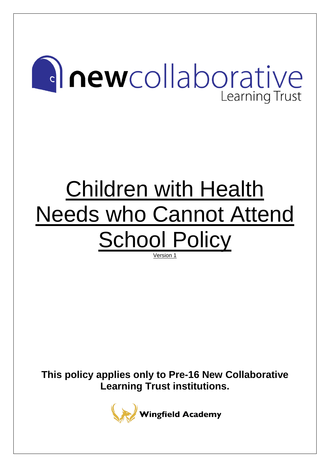# **Anewcollaborative Learning Trust**

# Children with Health Needs who Cannot Attend School Policy

Version 1

**This policy applies only to Pre-16 New Collaborative Learning Trust institutions.**

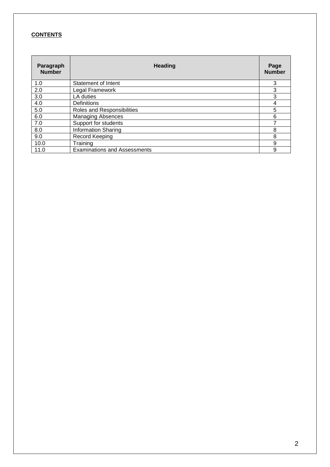## **CONTENTS**

| Paragraph<br><b>Number</b> | <b>Heading</b>                      |   |  |  |  |
|----------------------------|-------------------------------------|---|--|--|--|
| 1.0                        | Statement of Intent                 | 3 |  |  |  |
| 2.0                        | Legal Framework                     | 3 |  |  |  |
| 3.0                        | LA duties                           | 3 |  |  |  |
| 4.0                        | <b>Definitions</b>                  | 4 |  |  |  |
| 5.0                        | Roles and Responsibilities          | 5 |  |  |  |
| 6.0                        | <b>Managing Absences</b>            | 6 |  |  |  |
| 7.0                        | Support for students                |   |  |  |  |
| 8.0                        | <b>Information Sharing</b>          | 8 |  |  |  |
| 9.0                        | Record Keeping                      | 8 |  |  |  |
| 10.0                       | Training                            | 9 |  |  |  |
| 11.0                       | <b>Examinations and Assessments</b> | 9 |  |  |  |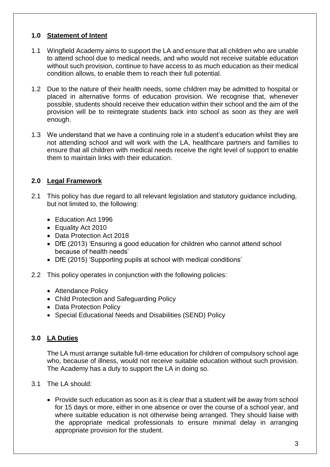## **1.0 Statement of Intent**

- 1.1 Wingfield Academy aims to support the LA and ensure that all children who are unable to attend school due to medical needs, and who would not receive suitable education without such provision, continue to have access to as much education as their medical condition allows, to enable them to reach their full potential.
- 1.2 Due to the nature of their health needs, some children may be admitted to hospital or placed in alternative forms of education provision. We recognise that, whenever possible, students should receive their education within their school and the aim of the provision will be to reintegrate students back into school as soon as they are well enough.
- 1.3 We understand that we have a continuing role in a student's education whilst they are not attending school and will work with the LA, healthcare partners and families to ensure that all children with medical needs receive the right level of support to enable them to maintain links with their education.

## **2.0 Legal Framework**

- 2.1 This policy has due regard to all relevant legislation and statutory guidance including, but not limited to, the following:
	- Education Act 1996
	- Equality Act 2010
	- Data Protection Act 2018
	- DfE (2013) 'Ensuring a good education for children who cannot attend school because of health needs'
	- DfE (2015) 'Supporting pupils at school with medical conditions'
- 2.2 This policy operates in conjunction with the following policies:
	- Attendance Policy
	- Child Protection and Safeguarding Policy
	- Data Protection Policy
	- Special Educational Needs and Disabilities (SEND) Policy

## **3.0 LA Duties**

The LA must arrange suitable full-time education for children of compulsory school age who, because of illness, would not receive suitable education without such provision. The Academy has a duty to support the LA in doing so.

- 3.1 The LA should:
	- Provide such education as soon as it is clear that a student will be away from school for 15 days or more, either in one absence or over the course of a school year, and where suitable education is not otherwise being arranged. They should liaise with the appropriate medical professionals to ensure minimal delay in arranging appropriate provision for the student.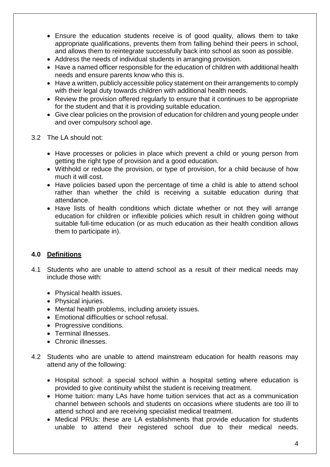- Ensure the education students receive is of good quality, allows them to take appropriate qualifications, prevents them from falling behind their peers in school, and allows them to reintegrate successfully back into school as soon as possible.
- Address the needs of individual students in arranging provision.
- Have a named officer responsible for the education of children with additional health needs and ensure parents know who this is.
- Have a written, publicly accessible policy statement on their arrangements to comply with their legal duty towards children with additional health needs.
- Review the provision offered regularly to ensure that it continues to be appropriate for the student and that it is providing suitable education.
- Give clear policies on the provision of education for children and young people under and over compulsory school age.
- 3.2 The LA should not:
	- Have processes or policies in place which prevent a child or young person from getting the right type of provision and a good education.
	- Withhold or reduce the provision, or type of provision, for a child because of how much it will cost.
	- Have policies based upon the percentage of time a child is able to attend school rather than whether the child is receiving a suitable education during that attendance.
	- Have lists of health conditions which dictate whether or not they will arrange education for children or inflexible policies which result in children going without suitable full-time education (or as much education as their health condition allows them to participate in).

# **4.0 Definitions**

- 4.1 Students who are unable to attend school as a result of their medical needs may include those with:
	- Physical health issues.
	- Physical injuries.
	- Mental health problems, including anxiety issues.
	- Emotional difficulties or school refusal.
	- Progressive conditions.
	- Terminal illnesses.
	- Chronic illnesses.
- 4.2 Students who are unable to attend mainstream education for health reasons may attend any of the following:
	- Hospital school: a special school within a hospital setting where education is provided to give continuity whilst the student is receiving treatment.
	- Home tuition: many LAs have home tuition services that act as a communication channel between schools and students on occasions where students are too ill to attend school and are receiving specialist medical treatment.
	- Medical PRUs: these are LA establishments that provide education for students unable to attend their registered school due to their medical needs.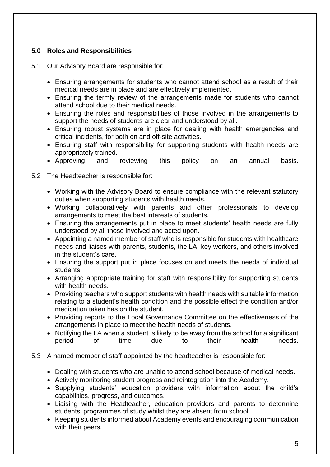# **5.0 Roles and Responsibilities**

- 5.1 Our Advisory Board are responsible for:
	- Ensuring arrangements for students who cannot attend school as a result of their medical needs are in place and are effectively implemented.
	- Ensuring the termly review of the arrangements made for students who cannot attend school due to their medical needs.
	- Ensuring the roles and responsibilities of those involved in the arrangements to support the needs of students are clear and understood by all.
	- Ensuring robust systems are in place for dealing with health emergencies and critical incidents, for both on and off-site activities.
	- Ensuring staff with responsibility for supporting students with health needs are appropriately trained.
	- Approving and reviewing this policy on an annual basis.
- 5.2 The Headteacher is responsible for:
	- Working with the Advisory Board to ensure compliance with the relevant statutory duties when supporting students with health needs.
	- Working collaboratively with parents and other professionals to develop arrangements to meet the best interests of students.
	- Ensuring the arrangements put in place to meet students' health needs are fully understood by all those involved and acted upon.
	- Appointing a named member of staff who is responsible for students with healthcare needs and liaises with parents, students, the LA, key workers, and others involved in the student's care.
	- Ensuring the support put in place focuses on and meets the needs of individual students.
	- Arranging appropriate training for staff with responsibility for supporting students with health needs.
	- Providing teachers who support students with health needs with suitable information relating to a student's health condition and the possible effect the condition and/or medication taken has on the student.
	- Providing reports to the Local Governance Committee on the effectiveness of the arrangements in place to meet the health needs of students.
	- Notifying the LA when a student is likely to be away from the school for a significant period of time due to their health needs.
- 5.3 A named member of staff appointed by the headteacher is responsible for:
	- Dealing with students who are unable to attend school because of medical needs.
	- Actively monitoring student progress and reintegration into the Academy.
	- Supplying students' education providers with information about the child's capabilities, progress, and outcomes.
	- Liaising with the Headteacher, education providers and parents to determine students' programmes of study whilst they are absent from school.
	- Keeping students informed about Academy events and encouraging communication with their peers.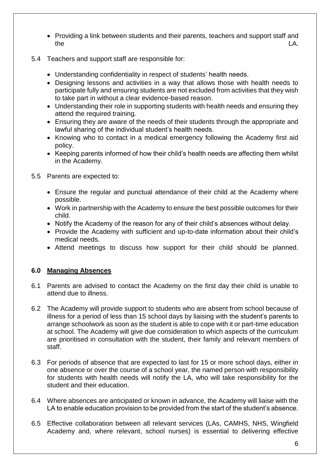- Providing a link between students and their parents, teachers and support staff and the LA.
- 5.4 Teachers and support staff are responsible for:
	- Understanding confidentiality in respect of students' health needs.
	- Designing lessons and activities in a way that allows those with health needs to participate fully and ensuring students are not excluded from activities that they wish to take part in without a clear evidence-based reason.
	- Understanding their role in supporting students with health needs and ensuring they attend the required training.
	- Ensuring they are aware of the needs of their students through the appropriate and lawful sharing of the individual student's health needs.
	- Knowing who to contact in a medical emergency following the Academy first aid policy.
	- Keeping parents informed of how their child's health needs are affecting them whilst in the Academy.
- 5.5 Parents are expected to:
	- Ensure the regular and punctual attendance of their child at the Academy where possible.
	- Work in partnership with the Academy to ensure the best possible outcomes for their child.
	- Notify the Academy of the reason for any of their child's absences without delay.
	- Provide the Academy with sufficient and up-to-date information about their child's medical needs.
	- Attend meetings to discuss how support for their child should be planned.

## **6.0 Managing Absences**

- 6.1 Parents are advised to contact the Academy on the first day their child is unable to attend due to illness.
- 6.2 The Academy will provide support to students who are absent from school because of illness for a period of less than 15 school days by liaising with the student's parents to arrange schoolwork as soon as the student is able to cope with it or part-time education at school. The Academy will give due consideration to which aspects of the curriculum are prioritised in consultation with the student, their family and relevant members of staff.
- 6.3 For periods of absence that are expected to last for 15 or more school days, either in one absence or over the course of a school year, the named person with responsibility for students with health needs will notify the LA, who will take responsibility for the student and their education.
- 6.4 Where absences are anticipated or known in advance, the Academy will liaise with the LA to enable education provision to be provided from the start of the student's absence.
- 6.5 Effective collaboration between all relevant services (LAs, CAMHS, NHS, Wingfield Academy and, where relevant, school nurses) is essential to delivering effective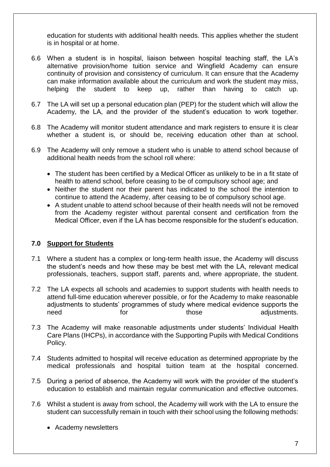education for students with additional health needs. This applies whether the student is in hospital or at home.

- 6.6 When a student is in hospital, liaison between hospital teaching staff, the LA's alternative provision/home tuition service and Wingfield Academy can ensure continuity of provision and consistency of curriculum. It can ensure that the Academy can make information available about the curriculum and work the student may miss, helping the student to keep up, rather than having to catch up.
- 6.7 The LA will set up a personal education plan (PEP) for the student which will allow the Academy, the LA, and the provider of the student's education to work together.
- 6.8 The Academy will monitor student attendance and mark registers to ensure it is clear whether a student is, or should be, receiving education other than at school.
- 6.9 The Academy will only remove a student who is unable to attend school because of additional health needs from the school roll where:
	- The student has been certified by a Medical Officer as unlikely to be in a fit state of health to attend school, before ceasing to be of compulsory school age; and
	- Neither the student nor their parent has indicated to the school the intention to continue to attend the Academy, after ceasing to be of compulsory school age.
	- A student unable to attend school because of their health needs will not be removed from the Academy register without parental consent and certification from the Medical Officer, even if the LA has become responsible for the student's education.

## **7.0 Support for Students**

- 7.1 Where a student has a complex or long-term health issue, the Academy will discuss the student's needs and how these may be best met with the LA, relevant medical professionals, teachers, support staff, parents and, where appropriate, the student.
- 7.2 The LA expects all schools and academies to support students with health needs to attend full-time education wherever possible, or for the Academy to make reasonable adjustments to students' programmes of study where medical evidence supports the need for those adjustments.
- 7.3 The Academy will make reasonable adjustments under students' Individual Health Care Plans (IHCPs), in accordance with the Supporting Pupils with Medical Conditions Policy.
- 7.4 Students admitted to hospital will receive education as determined appropriate by the medical professionals and hospital tuition team at the hospital concerned.
- 7.5 During a period of absence, the Academy will work with the provider of the student's education to establish and maintain regular communication and effective outcomes.
- 7.6 Whilst a student is away from school, the Academy will work with the LA to ensure the student can successfully remain in touch with their school using the following methods:
	- Academy newsletters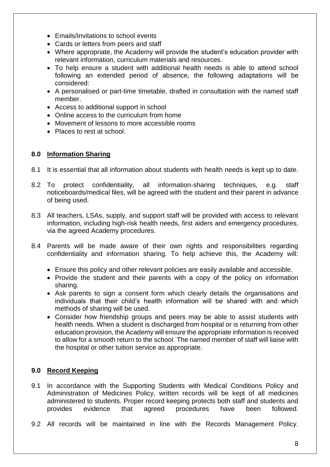- Emails/Invitations to school events
- Cards or letters from peers and staff
- Where appropriate, the Academy will provide the student's education provider with relevant information, curriculum materials and resources.
- To help ensure a student with additional health needs is able to attend school following an extended period of absence, the following adaptations will be considered:
- A personalised or part-time timetable, drafted in consultation with the named staff member.
- Access to additional support in school
- Online access to the curriculum from home
- Movement of lessons to more accessible rooms
- Places to rest at school.

### **8.0 Information Sharing**

- 8.1 It is essential that all information about students with health needs is kept up to date.
- 8.2 To protect confidentiality, all information-sharing techniques, e.g. staff noticeboards/medical files, will be agreed with the student and their parent in advance of being used.
- 8.3 All teachers, LSAs, supply, and support staff will be provided with access to relevant information, including high-risk health needs, first aiders and emergency procedures, via the agreed Academy procedures.
- 8.4 Parents will be made aware of their own rights and responsibilities regarding confidentiality and information sharing. To help achieve this, the Academy will:
	- Ensure this policy and other relevant policies are easily available and accessible.
	- Provide the student and their parents with a copy of the policy on information sharing.
	- Ask parents to sign a consent form which clearly details the organisations and individuals that their child's health information will be shared with and which methods of sharing will be used.
	- Consider how friendship groups and peers may be able to assist students with health needs. When a student is discharged from hospital or is returning from other education provision, the Academy will ensure the appropriate information is received to allow for a smooth return to the school. The named member of staff will liaise with the hospital or other tuition service as appropriate.

## **9.0 Record Keeping**

- 9.1 In accordance with the Supporting Students with Medical Conditions Policy and Administration of Medicines Policy, written records will be kept of all medicines administered to students. Proper record keeping protects both staff and students and provides evidence that agreed procedures have been followed.
- 9.2 All records will be maintained in line with the Records Management Policy.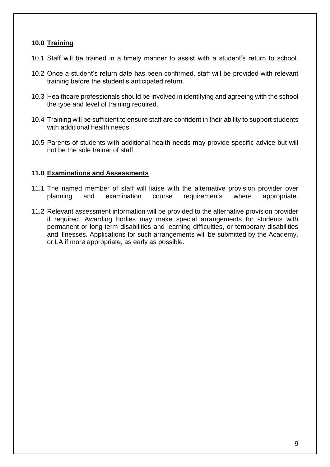### **10.0 Training**

- 10.1 Staff will be trained in a timely manner to assist with a student's return to school.
- 10.2 Once a student's return date has been confirmed, staff will be provided with relevant training before the student's anticipated return.
- 10.3 Healthcare professionals should be involved in identifying and agreeing with the school the type and level of training required.
- 10.4 Training will be sufficient to ensure staff are confident in their ability to support students with additional health needs.
- 10.5 Parents of students with additional health needs may provide specific advice but will not be the sole trainer of staff.

### **11.0 Examinations and Assessments**

- 11.1 The named member of staff will liaise with the alternative provision provider over planning and examination course requirements where appropriate.
- 11.2 Relevant assessment information will be provided to the alternative provision provider if required. Awarding bodies may make special arrangements for students with permanent or long-term disabilities and learning difficulties, or temporary disabilities and illnesses. Applications for such arrangements will be submitted by the Academy, or LA if more appropriate, as early as possible.